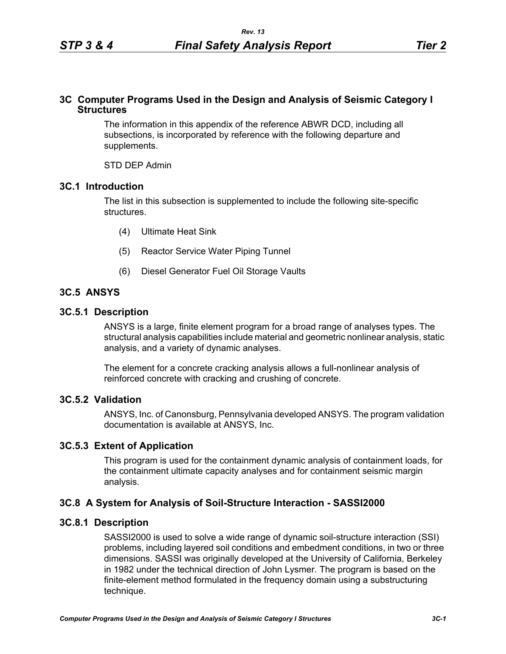## **3C Computer Programs Used in the Design and Analysis of Seismic Category I Structures**

The information in this appendix of the reference ABWR DCD, including all subsections, is incorporated by reference with the following departure and supplements.

STD DEP Admin

## **3C.1 Introduction**

The list in this subsection is supplemented to include the following site-specific structures.

- (4) Ultimate Heat Sink
- (5) Reactor Service Water Piping Tunnel
- (6) Diesel Generator Fuel Oil Storage Vaults

# **3C.5 ANSYS**

#### **3C.5.1 Description**

ANSYS is a large, finite element program for a broad range of analyses types. The structural analysis capabilities include material and geometric nonlinear analysis, static analysis, and a variety of dynamic analyses.

The element for a concrete cracking analysis allows a full-nonlinear analysis of reinforced concrete with cracking and crushing of concrete.

## **3C.5.2 Validation**

ANSYS, Inc. of Canonsburg, Pennsylvania developed ANSYS. The program validation documentation is available at ANSYS, Inc.

## **3C.5.3 Extent of Application**

This program is used for the containment dynamic analysis of containment loads, for the containment ultimate capacity analyses and for containment seismic margin analysis.

## **3C.8 A System for Analysis of Soil-Structure Interaction - SASSI2000**

### **3C.8.1 Description**

SASSI2000 is used to solve a wide range of dynamic soil-structure interaction (SSI) problems, including layered soil conditions and embedment conditions, in two or three dimensions. SASSI was originally developed at the University of California, Berkeley in 1982 under the technical direction of John Lysmer. The program is based on the finite-element method formulated in the frequency domain using a substructuring technique.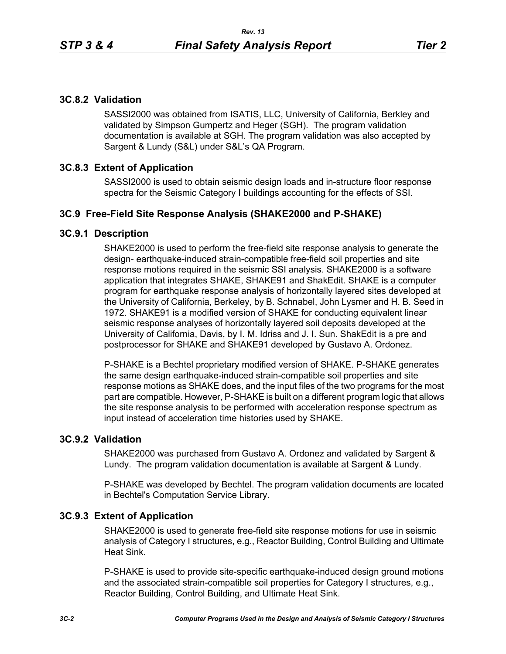# **3C.8.2 Validation**

SASSI2000 was obtained from ISATIS, LLC, University of California, Berkley and validated by Simpson Gumpertz and Heger (SGH). The program validation documentation is available at SGH. The program validation was also accepted by Sargent & Lundy (S&L) under S&L's QA Program.

# **3C.8.3 Extent of Application**

SASSI2000 is used to obtain seismic design loads and in-structure floor response spectra for the Seismic Category I buildings accounting for the effects of SSI.

# **3C.9 Free-Field Site Response Analysis (SHAKE2000 and P-SHAKE)**

## **3C.9.1 Description**

SHAKE2000 is used to perform the free-field site response analysis to generate the design- earthquake-induced strain-compatible free-field soil properties and site response motions required in the seismic SSI analysis. SHAKE2000 is a software application that integrates SHAKE, SHAKE91 and ShakEdit. SHAKE is a computer program for earthquake response analysis of horizontally layered sites developed at the University of California, Berkeley, by B. Schnabel, John Lysmer and H. B. Seed in 1972. SHAKE91 is a modified version of SHAKE for conducting equivalent linear seismic response analyses of horizontally layered soil deposits developed at the University of California, Davis, by I. M. Idriss and J. I. Sun. ShakEdit is a pre and postprocessor for SHAKE and SHAKE91 developed by Gustavo A. Ordonez.

P-SHAKE is a Bechtel proprietary modified version of SHAKE. P-SHAKE generates the same design earthquake-induced strain-compatible soil properties and site response motions as SHAKE does, and the input files of the two programs for the most part are compatible. However, P-SHAKE is built on a different program logic that allows the site response analysis to be performed with acceleration response spectrum as input instead of acceleration time histories used by SHAKE.

# **3C.9.2 Validation**

SHAKE2000 was purchased from Gustavo A. Ordonez and validated by Sargent & Lundy. The program validation documentation is available at Sargent & Lundy.

P-SHAKE was developed by Bechtel. The program validation documents are located in Bechtel's Computation Service Library.

## **3C.9.3 Extent of Application**

SHAKE2000 is used to generate free-field site response motions for use in seismic analysis of Category I structures, e.g., Reactor Building, Control Building and Ultimate Heat Sink.

P-SHAKE is used to provide site-specific earthquake-induced design ground motions and the associated strain-compatible soil properties for Category I structures, e.g., Reactor Building, Control Building, and Ultimate Heat Sink.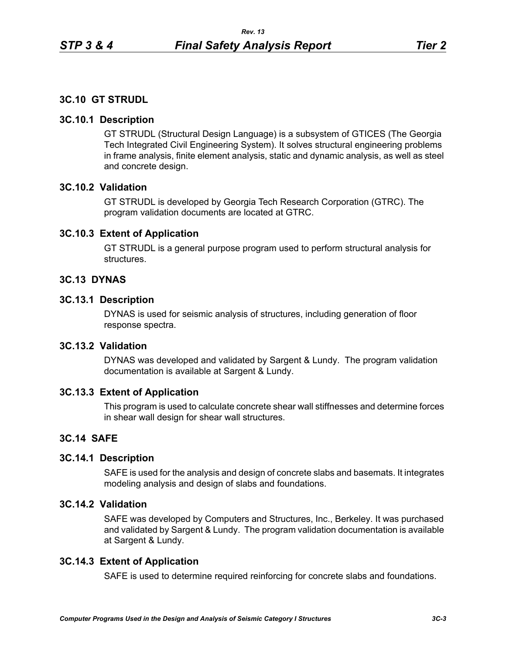# **3C.10 GT STRUDL**

## **3C.10.1 Description**

GT STRUDL (Structural Design Language) is a subsystem of GTICES (The Georgia Tech Integrated Civil Engineering System). It solves structural engineering problems in frame analysis, finite element analysis, static and dynamic analysis, as well as steel and concrete design.

## **3C.10.2 Validation**

GT STRUDL is developed by Georgia Tech Research Corporation (GTRC). The program validation documents are located at GTRC.

## **3C.10.3 Extent of Application**

GT STRUDL is a general purpose program used to perform structural analysis for structures.

## **3C.13 DYNAS**

## **3C.13.1 Description**

DYNAS is used for seismic analysis of structures, including generation of floor response spectra.

## **3C.13.2 Validation**

DYNAS was developed and validated by Sargent & Lundy. The program validation documentation is available at Sargent & Lundy.

## **3C.13.3 Extent of Application**

This program is used to calculate concrete shear wall stiffnesses and determine forces in shear wall design for shear wall structures.

# **3C.14 SAFE**

## **3C.14.1 Description**

SAFE is used for the analysis and design of concrete slabs and basemats. It integrates modeling analysis and design of slabs and foundations.

# **3C.14.2 Validation**

SAFE was developed by Computers and Structures, Inc., Berkeley. It was purchased and validated by Sargent & Lundy. The program validation documentation is available at Sargent & Lundy.

# **3C.14.3 Extent of Application**

SAFE is used to determine required reinforcing for concrete slabs and foundations.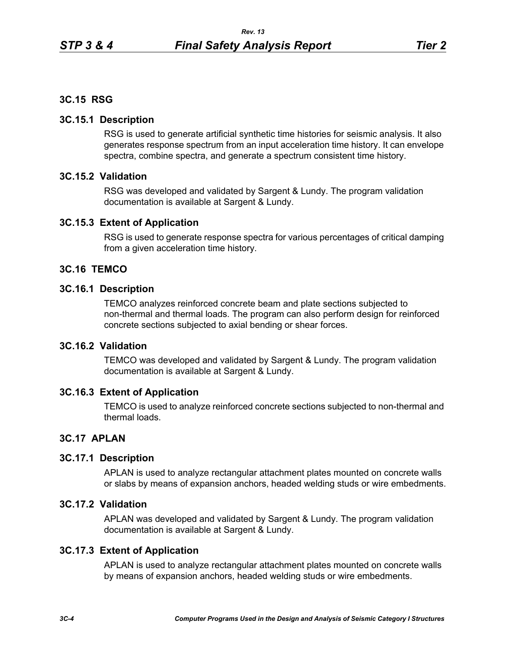## **3C.15 RSG**

## **3C.15.1 Description**

RSG is used to generate artificial synthetic time histories for seismic analysis. It also generates response spectrum from an input acceleration time history. It can envelope spectra, combine spectra, and generate a spectrum consistent time history.

## **3C.15.2 Validation**

RSG was developed and validated by Sargent & Lundy. The program validation documentation is available at Sargent & Lundy.

## **3C.15.3 Extent of Application**

RSG is used to generate response spectra for various percentages of critical damping from a given acceleration time history.

## **3C.16 TEMCO**

### **3C.16.1 Description**

TEMCO analyzes reinforced concrete beam and plate sections subjected to non-thermal and thermal loads. The program can also perform design for reinforced concrete sections subjected to axial bending or shear forces.

# **3C.16.2 Validation**

TEMCO was developed and validated by Sargent & Lundy. The program validation documentation is available at Sargent & Lundy.

## **3C.16.3 Extent of Application**

TEMCO is used to analyze reinforced concrete sections subjected to non-thermal and thermal loads.

## **3C.17 APLAN**

## **3C.17.1 Description**

APLAN is used to analyze rectangular attachment plates mounted on concrete walls or slabs by means of expansion anchors, headed welding studs or wire embedments.

## **3C.17.2 Validation**

APLAN was developed and validated by Sargent & Lundy. The program validation documentation is available at Sargent & Lundy.

## **3C.17.3 Extent of Application**

APLAN is used to analyze rectangular attachment plates mounted on concrete walls by means of expansion anchors, headed welding studs or wire embedments.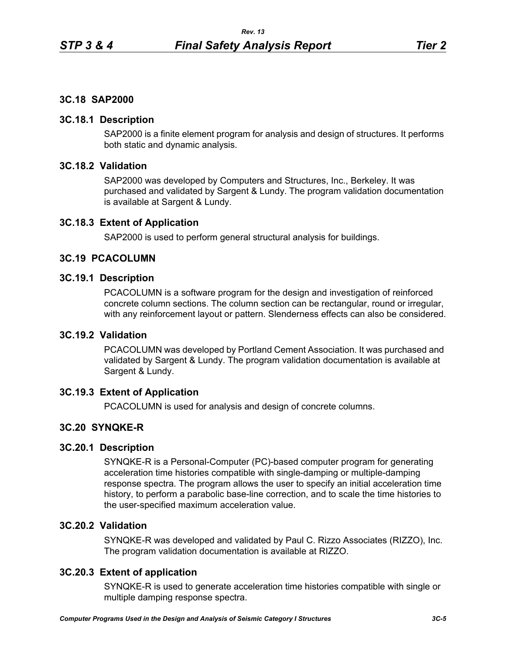## **3C.18 SAP2000**

## **3C.18.1 Description**

SAP2000 is a finite element program for analysis and design of structures. It performs both static and dynamic analysis.

# **3C.18.2 Validation**

SAP2000 was developed by Computers and Structures, Inc., Berkeley. It was purchased and validated by Sargent & Lundy. The program validation documentation is available at Sargent & Lundy.

## **3C.18.3 Extent of Application**

SAP2000 is used to perform general structural analysis for buildings.

#### **3C.19 PCACOLUMN**

## **3C.19.1 Description**

PCACOLUMN is a software program for the design and investigation of reinforced concrete column sections. The column section can be rectangular, round or irregular, with any reinforcement layout or pattern. Slenderness effects can also be considered.

### **3C.19.2 Validation**

PCACOLUMN was developed by Portland Cement Association. It was purchased and validated by Sargent & Lundy. The program validation documentation is available at Sargent & Lundy.

## **3C.19.3 Extent of Application**

PCACOLUMN is used for analysis and design of concrete columns.

## **3C.20 SYNQKE-R**

## **3C.20.1 Description**

SYNQKE-R is a Personal-Computer (PC)-based computer program for generating acceleration time histories compatible with single-damping or multiple-damping response spectra. The program allows the user to specify an initial acceleration time history, to perform a parabolic base-line correction, and to scale the time histories to the user-specified maximum acceleration value.

## **3C.20.2 Validation**

SYNQKE-R was developed and validated by Paul C. Rizzo Associates (RIZZO), Inc. The program validation documentation is available at RIZZO.

## **3C.20.3 Extent of application**

SYNQKE-R is used to generate acceleration time histories compatible with single or multiple damping response spectra.